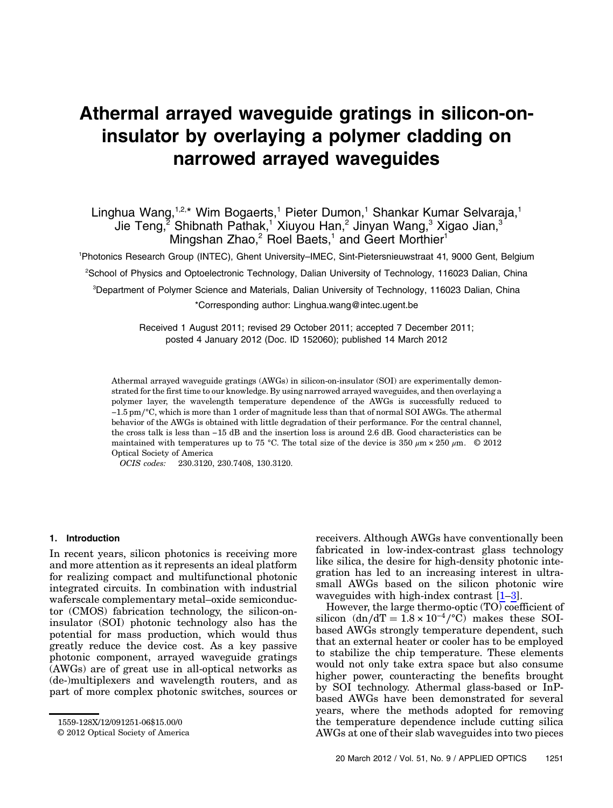# Athermal arrayed waveguide gratings in silicon-oninsulator by overlaying a polymer cladding on narrowed arrayed waveguides

# Linghua Wang,<sup>1,2,\*</sup> Wim Bogaerts,<sup>1</sup> Pieter Dumon,<sup>1</sup> Shankar Kumar Selvaraja,<sup>1</sup> Jie Teng,<sup>2</sup> Shibnath Pathak,<sup>1</sup> Xiuyou Han,<sup>2</sup> Jinyan Wang,<sup>3</sup> Xigao Jian,<sup>3</sup> Mingshan Zhao, $2$  Roel Baets,<sup>1</sup> and Geert Morthier<sup>1</sup>

1 Photonics Research Group (INTEC), Ghent University*–*IMEC, Sint-Pietersnieuwstraat 41, 9000 Gent, Belgium

2 School of Physics and Optoelectronic Technology, Dalian University of Technology, 116023 Dalian, China

3 Department of Polymer Science and Materials, Dalian University of Technology, 116023 Dalian, China \*Corresponding author: Linghua.wang@intec.ugent.be

> Received 1 August 2011; revised 29 October 2011; accepted 7 December 2011; posted 4 January 2012 (Doc. ID 152060); published 14 March 2012

Athermal arrayed waveguide gratings (AWGs) in silicon-on-insulator (SOI) are experimentally demonstrated for the first time to our knowledge. By using narrowed arrayed waveguides, and then overlaying a polymer layer, the wavelength temperature dependence of the AWGs is successfully reduced to −1.5 pm∕°C, which is more than 1 order of magnitude less than that of normal SOI AWGs. The athermal behavior of the AWGs is obtained with little degradation of their performance. For the central channel, the cross talk is less than −15 dB and the insertion loss is around 2.6 dB. Good characteristics can be maintained with temperatures up to 75 °C. The total size of the device is 350  $\mu$ m × 250  $\mu$ m. © 2012 Optical Society of America

OCIS codes: 230.3120, 230.7408, 130.3120.

# 1. Introduction

In recent years, silicon photonics is receiving more and more attention as it represents an ideal platform for realizing compact and multifunctional photonic integrated circuits. In combination with industrial waferscale complementary metal–oxide semiconductor (CMOS) fabrication technology, the silicon-oninsulator (SOI) photonic technology also has the potential for mass production, which would thus greatly reduce the device cost. As a key passive photonic component, arrayed waveguide gratings (AWGs) are of great use in all-optical networks as (de-)multiplexers and wavelength routers, and as part of more complex photonic switches, sources or receivers. Although AWGs have conventionally been fabricated in low-index-contrast glass technology like silica, the desire for high-density photonic integration has led to an increasing interest in ultrasmall AWGs based on the silicon photonic wire waveguides with high-index contrast  $[1-3]$  $[1-3]$  $[1-3]$  $[1-3]$ .

However, the large thermo-optic  $(TO)$  coefficient of silicon  $(dn/dT = 1.8 \times 10^{-4}/^{\circ}\text{C})$  makes these SOIbased AWGs strongly temperature dependent, such that an external heater or cooler has to be employed to stabilize the chip temperature. These elements would not only take extra space but also consume higher power, counteracting the benefits brought by SOI technology. Athermal glass-based or InPbased AWGs have been demonstrated for several years, where the methods adopted for removing the temperature dependence include cutting silica AWGs at one of their slab waveguides into two pieces

<sup>1559-128</sup>X/12/091251-06\$15.00/0

<sup>© 2012</sup> Optical Society of America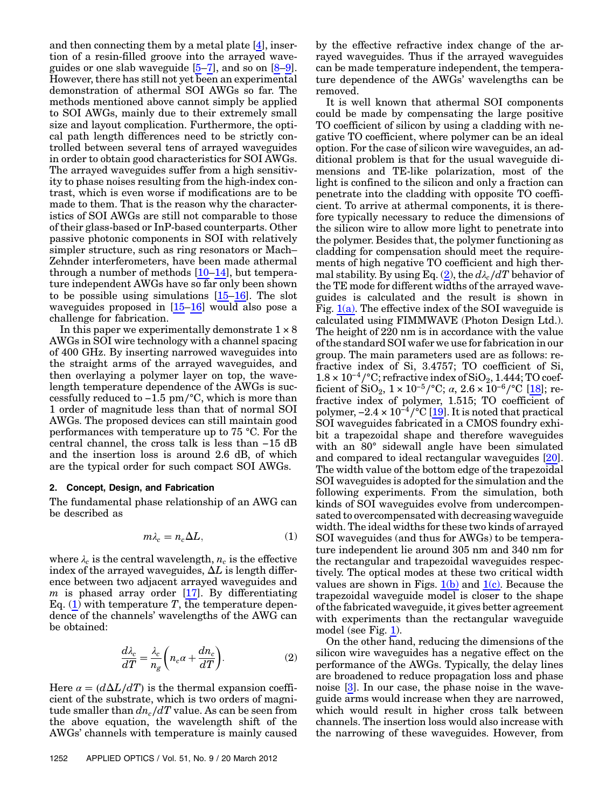and then connecting them by a metal plate [\[4\]](#page-4-2), insertion of a resin-filled groove into the arrayed waveguides or one slab waveguide  $[5-7]$  $[5-7]$  $[5-7]$  $[5-7]$ , and so on  $[8-9]$  $[8-9]$  $[8-9]$  $[8-9]$ . However, there has still not yet been an experimental demonstration of athermal SOI AWGs so far. The methods mentioned above cannot simply be applied to SOI AWGs, mainly due to their extremely small size and layout complication. Furthermore, the optical path length differences need to be strictly controlled between several tens of arrayed waveguides in order to obtain good characteristics for SOI AWGs. The arrayed waveguides suffer from a high sensitivity to phase noises resulting from the high-index contrast, which is even worse if modifications are to be made to them. That is the reason why the characteristics of SOI AWGs are still not comparable to those of their glass-based or InP-based counterparts. Other passive photonic components in SOI with relatively simpler structure, such as ring resonators or Mach– Zehnder interferometers, have been made athermal through a number of methods [[10](#page-5-1)–[14](#page-5-2)], but temperature independent AWGs have so far only been shown to be possible using simulations [[15](#page-5-3)–[16](#page-5-4)]. The slot waveguides proposed in  $[15-16]$  $[15-16]$  $[15-16]$  $[15-16]$  would also pose a challenge for fabrication.

In this paper we experimentally demonstrate  $1 \times 8$ AWGs in SOI wire technology with a channel spacing of 400 GHz. By inserting narrowed waveguides into the straight arms of the arrayed waveguides, and then overlaying a polymer layer on top, the wavelength temperature dependence of the AWGs is successfully reduced to −1.5 pm∕°C, which is more than 1 order of magnitude less than that of normal SOI AWGs. The proposed devices can still maintain good performances with temperature up to 75 °C. For the central channel, the cross talk is less than −15 dB and the insertion loss is around 2.6 dB, of which are the typical order for such compact SOI AWGs.

# 2. Concept, Design, and Fabrication

<span id="page-1-0"></span>The fundamental phase relationship of an AWG can be described as

$$
m\lambda_c = n_c \Delta L, \tag{1}
$$

<span id="page-1-1"></span>where  $\lambda_c$  is the central wavelength,  $n_c$  is the effective index of the arrayed waveguides,  $\Delta L$  is length difference between two adjacent arrayed waveguides and  $m$  is phased array order [[17\]](#page-5-5). By differentiating Eq.  $(1)$  $(1)$  $(1)$  with temperature T, the temperature dependence of the channels' wavelengths of the AWG can be obtained:

$$
\frac{d\lambda_c}{dT} = \frac{\lambda_c}{n_g} \left( n_c \alpha + \frac{dn_c}{dT} \right).
$$
 (2)

Here  $\alpha = (d\Delta L/dT)$  is the thermal expansion coefficient of the substrate, which is two orders of magnitude smaller than  $dn_c/dT$  value. As can be seen from the above equation, the wavelength shift of the AWGs' channels with temperature is mainly caused

by the effective refractive index change of the arrayed waveguides. Thus if the arrayed waveguides can be made temperature independent, the temperature dependence of the AWGs' wavelengths can be removed.

It is well known that athermal SOI components could be made by compensating the large positive TO coefficient of silicon by using a cladding with negative TO coefficient, where polymer can be an ideal option. For the case of silicon wire waveguides, an additional problem is that for the usual waveguide dimensions and TE-like polarization, most of the light is confined to the silicon and only a fraction can penetrate into the cladding with opposite TO coefficient. To arrive at athermal components, it is therefore typically necessary to reduce the dimensions of the silicon wire to allow more light to penetrate into the polymer. Besides that, the polymer functioning as cladding for compensation should meet the requirements of high negative TO coefficient and high ther-mal stability. By using Eq. [\(2\)](#page-1-1), the  $d\lambda_c/dT$  behavior of the TE mode for different widths of the arrayed waveguides is calculated and the result is shown in Fig.  $1(a)$ . The effective index of the SOI waveguide is calculated using FIMMWAVE (Photon Design Ltd.). The height of 220 nm is in accordance with the value of the standard SOI wafer we use for fabrication in our group. The main parameters used are as follows: refractive index of Si, 3.4757; TO coefficient of Si,  $1.8 \times 10^{-4}$ /°C; refractive index of SiO<sub>2</sub>, 1.444; TO coefficient of SiO<sub>2</sub>,  $1 \times 10^{-5}$ /°C;  $\alpha$ ,  $2.6 \times 10^{-6}$ /°C [\[18](#page-5-6)]; refractive index of polymer, 1.515; TO coefficient of polymer,  $-2.4 \times 10^{-4}$  /°C [[19\]](#page-5-7). It is noted that practical SOI waveguides fabricated in a CMOS foundry exhibit a trapezoidal shape and therefore waveguides with an 80° sidewall angle have been simulated and compared to ideal rectangular waveguides [\[20](#page-5-8)]. The width value of the bottom edge of the trapezoidal SOI waveguides is adopted for the simulation and the following experiments. From the simulation, both kinds of SOI waveguides evolve from undercompensated to overcompensated with decreasing waveguide width. The ideal widths for these two kinds of arrayed SOI waveguides (and thus for AWGs) to be temperature independent lie around 305 nm and 340 nm for the rectangular and trapezoidal waveguides respectively. The optical modes at these two critical width values are shown in Figs.  $1(b)$  and  $1(c)$ . Because the trapezoidal waveguide model is closer to the shape of the fabricated waveguide, it gives better agreement with experiments than the rectangular waveguide model (see Fig. [1\)](#page-2-0).

On the other hand, reducing the dimensions of the silicon wire waveguides has a negative effect on the performance of the AWGs. Typically, the delay lines are broadened to reduce propagation loss and phase noise [[3](#page-4-1)]. In our case, the phase noise in the waveguide arms would increase when they are narrowed, which would result in higher cross talk between channels. The insertion loss would also increase with the narrowing of these waveguides. However, from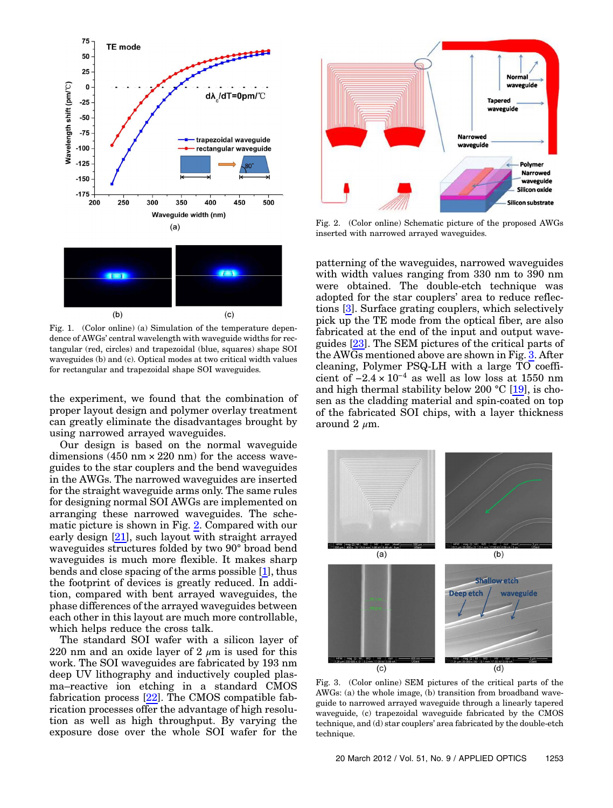<span id="page-2-0"></span>

Fig. 1. (Color online) (a) Simulation of the temperature dependence of AWGs' central wavelength with waveguide widths for rectangular (red, circles) and trapezoidal (blue, squares) shape SOI waveguides (b) and (c). Optical modes at two critical width values for rectangular and trapezoidal shape SOI waveguides.

the experiment, we found that the combination of proper layout design and polymer overlay treatment can greatly eliminate the disadvantages brought by using narrowed arrayed waveguides.

Our design is based on the normal waveguide dimensions  $(450 \text{ nm} \times 220 \text{ nm})$  for the access waveguides to the star couplers and the bend waveguides in the AWGs. The narrowed waveguides are inserted for the straight waveguide arms only. The same rules for designing normal SOI AWGs are implemented on arranging these narrowed waveguides. The schematic picture is shown in Fig. [2](#page-2-1). Compared with our early design [\[21](#page-5-9)], such layout with straight arrayed waveguides structures folded by two 90° broad bend waveguides is much more flexible. It makes sharp bends and close spacing of the arms possible [[1](#page-4-0)], thus the footprint of devices is greatly reduced. In addition, compared with bent arrayed waveguides, the phase differences of the arrayed waveguides between each other in this layout are much more controllable, which helps reduce the cross talk.

The standard SOI wafer with a silicon layer of 220 nm and an oxide layer of 2  $\mu$ m is used for this work. The SOI waveguides are fabricated by 193 nm deep UV lithography and inductively coupled plasma–reactive ion etching in a standard CMOS fabrication process  $[22]$  $[22]$ . The CMOS compatible fabrication processes offer the advantage of high resolution as well as high throughput. By varying the exposure dose over the whole SOI wafer for the

<span id="page-2-1"></span>

Fig. 2. (Color online) Schematic picture of the proposed AWGs inserted with narrowed arrayed waveguides.

patterning of the waveguides, narrowed waveguides with width values ranging from 330 nm to 390 nm were obtained. The double-etch technique was adopted for the star couplers' area to reduce reflections [[3](#page-4-1)]. Surface grating couplers, which selectively pick up the TE mode from the optical fiber, are also fabricated at the end of the input and output waveguides [[23\]](#page-5-11). The SEM pictures of the critical parts of the AWGs mentioned above are shown in Fig. [3.](#page-2-2) After cleaning, Polymer PSQ-LH with a large TO coefficient of  $-2.4 \times 10^{-4}$  as well as low loss at 1550 nm and high thermal stability below 200  $^{\circ}$ C [[19\]](#page-5-7), is chosen as the cladding material and spin-coated on top of the fabricated SOI chips, with a layer thickness around  $2 \mu m$ .

<span id="page-2-2"></span>

Fig. 3. (Color online) SEM pictures of the critical parts of the AWGs: (a) the whole image, (b) transition from broadband waveguide to narrowed arrayed waveguide through a linearly tapered waveguide, (c) trapezoidal waveguide fabricated by the CMOS technique, and (d) star couplers' area fabricated by the double-etch technique.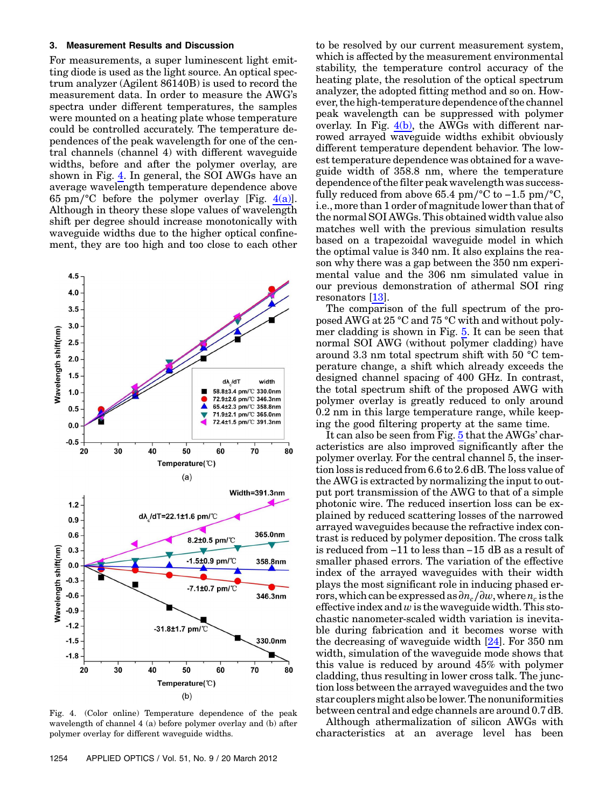## 3. Measurement Results and Discussion

For measurements, a super luminescent light emitting diode is used as the light source. An optical spectrum analyzer (Agilent 86140B) is used to record the measurement data. In order to measure the AWG'<sup>s</sup> spectra under different temperatures, the samples were mounted on a heating plate whose temperature could be controlled accurately. The temperature dependences of the peak wavelength for one of the central channels (channel 4) with different waveguide widths, before and after the polymer overlay, are shown in Fig. [4.](#page-3-0) In general, the SOI AWGs have an average wavelength temperature dependence above 65 pm/°C before the polymer overlay [Fig. [4\(a\)](#page-3-0)]. Although in theory these slope values of wavelength shift per degree should increase monotonically with waveguide widths due to the higher optical confinement, they are too high and too close to each other

<span id="page-3-0"></span>

Fig. 4. (Color online) Temperature dependence of the peak wavelength of channel 4 (a) before polymer overlay and (b) after polymer overlay for different waveguide widths.

to be resolved by our current measurement system, which is affected by the measurement environmental stability, the temperature control accuracy of the heating plate, the resolution of the optical spectrum analyzer, the adopted fitting method and so on. However, the high-temperature dependence of the channel peak wavelength can be suppressed with polymer overlay. In Fig.  $4(b)$ , the AWGs with different narrowed arrayed waveguide widths exhibit obviously different temperature dependent behavior. The lowest temperature dependence was obtained for a waveguide width of 358.8 nm, where the temperature dependence of the filter peak wavelength was successfully reduced from above 65.4 pm∕°C to −1.5 pm∕°C, i.e., more than 1 order of magnitude lower than that of the normal SOI AWGs. This obtained width value also matches well with the previous simulation results based on a trapezoidal waveguide model in which the optimal value is 340 nm. It also explains the reason why there was a gap between the 350 nm experimental value and the 306 nm simulated value in our previous demonstration of athermal SOI ring resonators [[13\]](#page-5-12).

The comparison of the full spectrum of the proposed AWG at 25 °C and 75 °C with and without polymer cladding is shown in Fig. [5.](#page-4-6) It can be seen that normal SOI AWG (without polymer cladding) have around 3.3 nm total spectrum shift with 50 °C temperature change, a shift which already exceeds the designed channel spacing of 400 GHz. In contrast, the total spectrum shift of the proposed AWG with polymer overlay is greatly reduced to only around 0.2 nm in this large temperature range, while keeping the good filtering property at the same time.

It can also be seen from Fig. [5](#page-4-6) that the AWGs' characteristics are also improved significantly after the polymer overlay. For the central channel 5, the insertion loss is reduced from 6.6 to 2.6 dB. The loss value of the AWG is extracted by normalizing the input to output port transmission of the AWG to that of a simple photonic wire. The reduced insertion loss can be explained by reduced scattering losses of the narrowed arrayed waveguides because the refractive index contrast is reduced by polymer deposition. The cross talk is reduced from −11 to less than −15 dB as a result of smaller phased errors. The variation of the effective index of the arrayed waveguides with their width plays the most significant role in inducing phased errors, which can be expressed as  $\partial n_c/\partial w$ , where  $n_c$  is the effective index and  $w$  is the waveguide width. This stochastic nanometer-scaled width variation is inevitable during fabrication and it becomes worse with the decreasing of waveguide width [[24\]](#page-5-13). For 350 nm width, simulation of the waveguide mode shows that this value is reduced by around 45% with polymer cladding, thus resulting in lower cross talk. The junction loss between the arrayed waveguides and the two star couplersmight also be lower.The nonuniformities between central and edge channels are around 0.7 dB.

Although athermalization of silicon AWGs with characteristics at an average level has been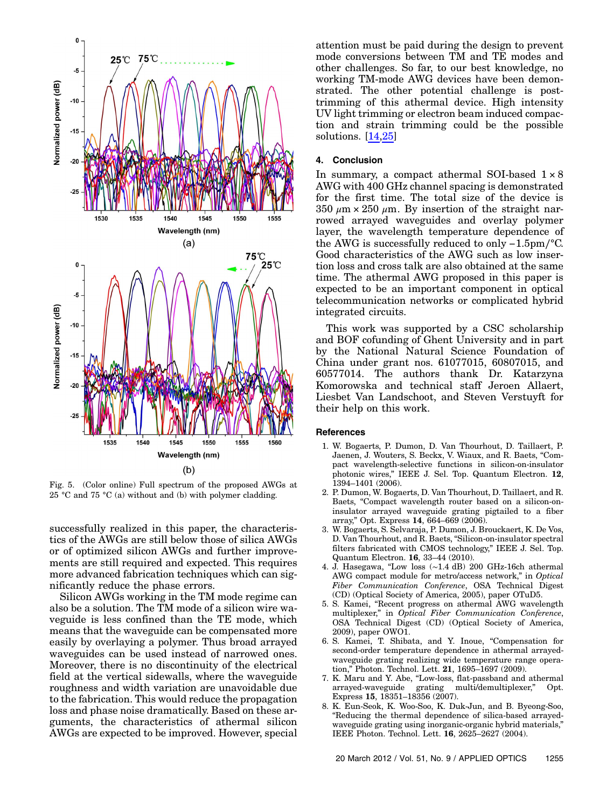<span id="page-4-6"></span>

Fig. 5. (Color online) Full spectrum of the proposed AWGs at 25 °C and 75 °C (a) without and (b) with polymer cladding.

successfully realized in this paper, the characteristics of the AWGs are still below those of silica AWGs or of optimized silicon AWGs and further improvements are still required and expected. This requires more advanced fabrication techniques which can significantly reduce the phase errors.

Silicon AWGs working in the TM mode regime can also be a solution. The TM mode of a silicon wire waveguide is less confined than the TE mode, which means that the waveguide can be compensated more easily by overlaying a polymer. Thus broad arrayed waveguides can be used instead of narrowed ones. Moreover, there is no discontinuity of the electrical field at the vertical sidewalls, where the waveguide roughness and width variation are unavoidable due to the fabrication. This would reduce the propagation loss and phase noise dramatically. Based on these arguments, the characteristics of athermal silicon AWGs are expected to be improved. However, special

attention must be paid during the design to prevent mode conversions between TM and TE modes and other challenges. So far, to our best knowledge, no working TM-mode AWG devices have been demonstrated. The other potential challenge is posttrimming of this athermal device. High intensity UV light trimming or electron beam induced compaction and strain trimming could be the possible solutions. [[14](#page-5-2)[,25](#page-5-14)]

### 4. Conclusion

In summary, a compact athermal SOI-based  $1 \times 8$ AWG with 400 GHz channel spacing is demonstrated for the first time. The total size of the device is 350  $\mu$ m × 250  $\mu$ m. By insertion of the straight narrowed arrayed waveguides and overlay polymer layer, the wavelength temperature dependence of the AWG is successfully reduced to only −1.5pm∕°C. Good characteristics of the AWG such as low insertion loss and cross talk are also obtained at the same time. The athermal AWG proposed in this paper is expected to be an important component in optical telecommunication networks or complicated hybrid integrated circuits.

This work was supported by a CSC scholarship and BOF cofunding of Ghent University and in part by the National Natural Science Foundation of China under grant nos. 61077015, 60807015, and 60577014. The authors thank Dr. Katarzyna Komorowska and technical staff Jeroen Allaert, Liesbet Van Landschoot, and Steven Verstuyft for their help on this work.

#### <span id="page-4-0"></span>References

- 1. W. Bogaerts, P. Dumon, D. Van Thourhout, D. Taillaert, P. Jaenen, J. Wouters, S. Beckx, V. Wiaux, and R. Baets, "Compact wavelength-selective functions in silicon-on-insulator photonic wires," IEEE J. Sel. Top. Quantum Electron. <sup>12</sup>, <sup>1394</sup>–1401 (2006).
- 2. P. Dumon, W. Bogaerts, D. Van Thourhout, D. Taillaert, and R. Baets, "Compact wavelength router based on a silicon-oninsulator arrayed waveguide grating pigtailed to a fiber array," Opt. Express <sup>14</sup>, 664–669 (2006).
- <span id="page-4-1"></span>3. W. Bogaerts, S. Selvaraja, P. Dumon, J. Brouckaert, K. De Vos, D. Van Thourhout, and R. Baets, "Silicon-on-insulator spectral filters fabricated with CMOS technology," IEEE J. Sel. Top. Quantum Electron. <sup>16</sup>, 33–44 (2010).
- <span id="page-4-2"></span>4. J. Hasegawa, "Low loss (∼1.<sup>4</sup> dB) 200 GHz-16ch athermal AWG compact module for metro/access network," in Optical Fiber Communication Conference, OSA Technical Digest (CD) (Optical Society of America, 2005), paper OTuD5.
- <span id="page-4-3"></span>5. S. Kamei, "Recent progress on athermal AWG wavelength multiplexer," in Optical Fiber Communication Conference, OSA Technical Digest (CD) (Optical Society of America, 2009), paper OWO1.
- 6. S. Kamei, T. Shibata, and Y. Inoue, "Compensation for second-order temperature dependence in athermal arrayedwaveguide grating realizing wide temperature range operation," Photon. Technol. Lett. <sup>21</sup>, 1695–1697 (2009).
- <span id="page-4-5"></span><span id="page-4-4"></span>7. K. Maru and Y. Abe, "Low-loss, flat-passband and athermal arrayed-waveguide grating multi/demultiplexer," Opt. Express <sup>15</sup>, 18351–18356 (2007).
- 8. K. Eun-Seok, K. Woo-Soo, K. Duk-Jun, and B. Byeong-Soo, "Reducing the thermal dependence of silica-based arrayedwaveguide grating using inorganic-organic hybrid materials," IEEE Photon. Technol. Lett. <sup>16</sup>, 2625–2627 (2004).